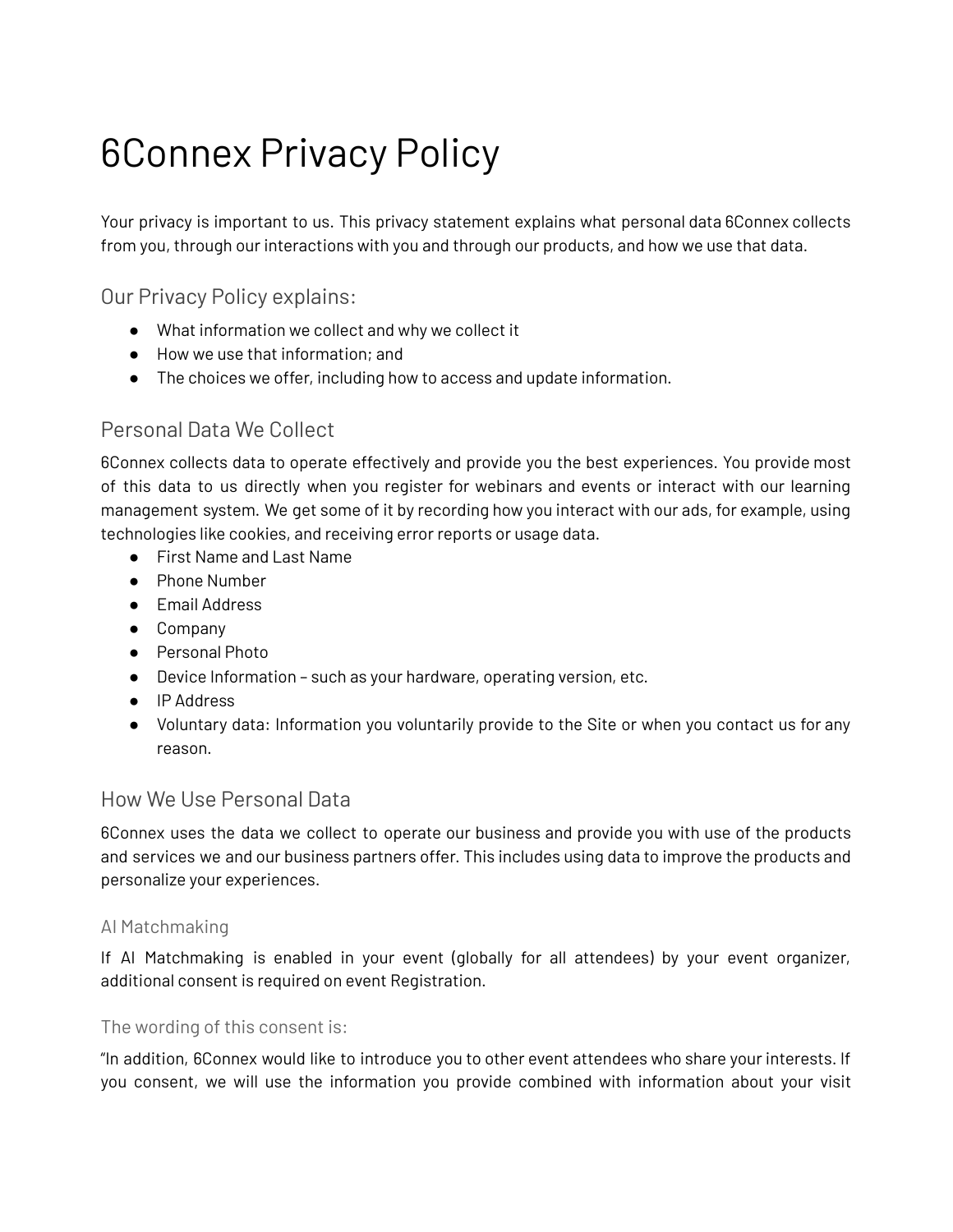# 6Connex Privacy Policy

Your privacy is important to us. This privacy statement explains what personal data 6Connex collects from you, through our interactions with you and through our products, and how we use that data.

Our Privacy Policy explains:

- What information we collect and why we collect it
- How we use that information; and
- The choices we offer, including how to access and update information.

# Personal Data We Collect

6Connex collects data to operate effectively and provide you the best experiences. You provide most of this data to us directly when you register for webinars and events or interact with our learning management system. We get some of it by recording how you interact with our ads, for example, using technologies like cookies, and receiving error reports or usage data.

- First Name and Last Name
- Phone Number
- Email Address
- Company
- Personal Photo
- Device Information such as your hardware, operating version, etc.
- IP Address
- Voluntary data: Information you voluntarily provide to the Site or when you contact us for any reason.

## How We Use Personal Data

6Connex uses the data we collect to operate our business and provide you with use of the products and services we and our business partners offer. This includes using data to improve the products and personalize your experiences.

#### AI Matchmaking

If AI Matchmaking is enabled in your event (globally for all attendees) by your event organizer, additional consent is required on event Registration.

#### The wording of this consent is:

"In addition, 6Connex would like to introduce you to other event attendees who share your interests. If you consent, we will use the information you provide combined with information about your visit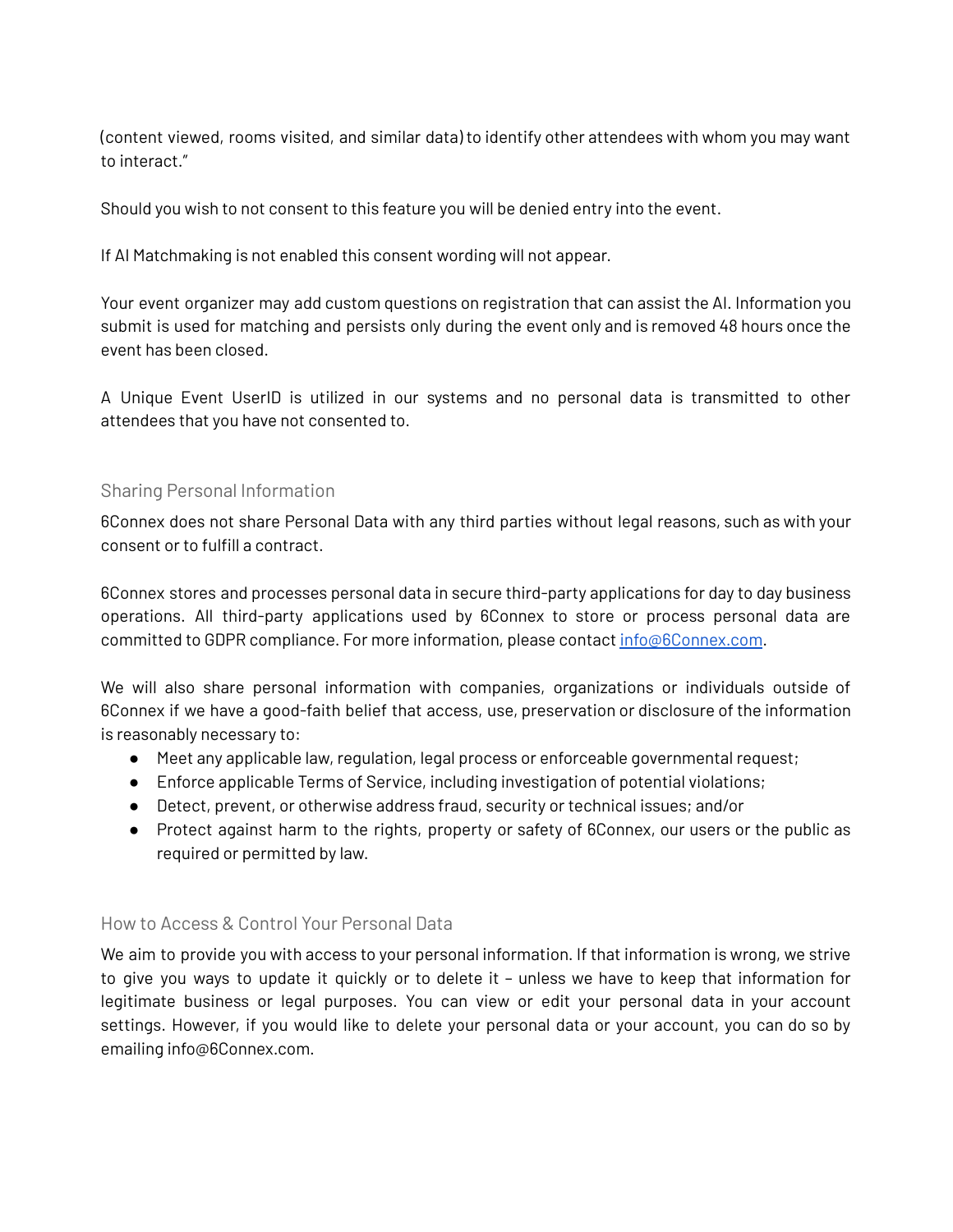(content viewed, rooms visited, and similar data) to identify other attendees with whom you may want to interact."

Should you wish to not consent to this feature you will be denied entry into the event.

If AI Matchmaking is not enabled this consent wording will not appear.

Your event organizer may add custom questions on registration that can assist the AI. Information you submit is used for matching and persists only during the event only and is removed 48 hours once the event has been closed.

A Unique Event UserID is utilized in our systems and no personal data is transmitted to other attendees that you have not consented to.

#### Sharing Personal Information

6Connex does not share Personal Data with any third parties without legal reasons, such as with your consent or to fulfill a contract.

6Connex stores and processes personal data in secure third-party applications for day to day business operations. All third-party applications used by 6Connex to store or process personal data are committed to GDPR compliance. For more information, please contact [info@6Connex.com](mailto:info@6Connex.com).

We will also share personal information with companies, organizations or individuals outside of 6Connex if we have a good-faith belief that access, use, preservation or disclosure of the information is reasonably necessary to:

- Meet any applicable law, regulation, legal process or enforceable governmental request;
- Enforce applicable Terms of Service, including investigation of potential violations;
- Detect, prevent, or otherwise address fraud, security or technical issues; and/or
- Protect against harm to the rights, property or safety of 6Connex, our users or the public as required or permitted by law.

#### How to Access & Control Your Personal Data

We aim to provide you with access to your personal information. If that information is wrong, we strive to give you ways to update it quickly or to delete it – unless we have to keep that information for legitimate business or legal purposes. You can view or edit your personal data in your account settings. However, if you would like to delete your personal data or your account, you can do so by emailing info@6Connex.com.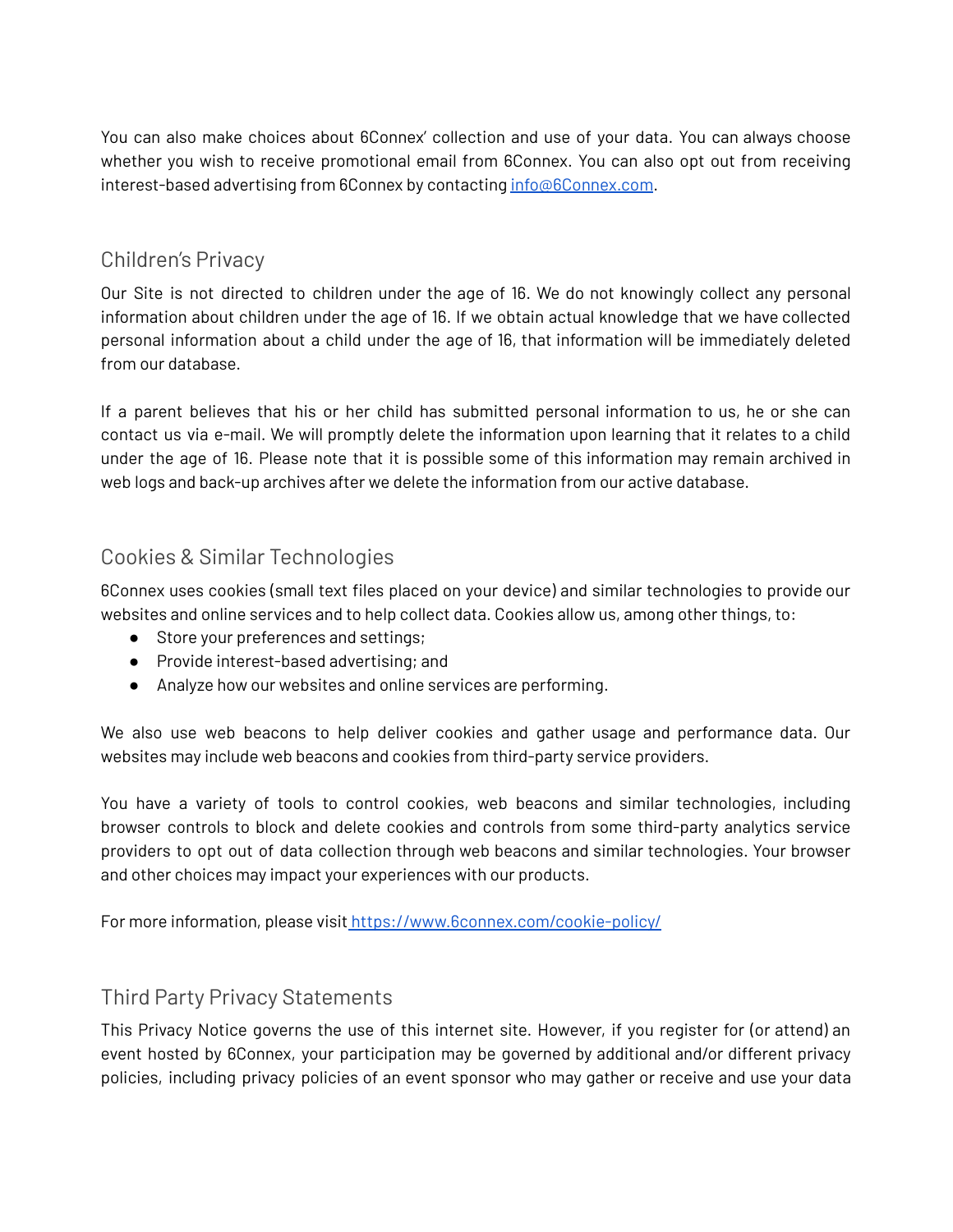You can also make choices about 6Connex' collection and use of your data. You can always choose whether you wish to receive promotional email from 6Connex. You can also opt out from receiving interest-based advertising from 6Connex by contacting [info@6Connex.com](mailto:info@6Connex.com).

## Children's Privacy

Our Site is not directed to children under the age of 16. We do not knowingly collect any personal information about children under the age of 16. If we obtain actual knowledge that we have collected personal information about a child under the age of 16, that information will be immediately deleted from our database.

If a parent believes that his or her child has submitted personal information to us, he or she can contact us via e-mail. We will promptly delete the information upon learning that it relates to a child under the age of 16. Please note that it is possible some of this information may remain archived in web logs and back-up archives after we delete the information from our active database.

## Cookies & Similar Technologies

6Connex uses cookies (small text files placed on your device) and similar technologies to provide our websites and online services and to help collect data. Cookies allow us, among other things, to:

- Store your preferences and settings;
- Provide interest-based advertising; and
- Analyze how our websites and online services are performing.

We also use web beacons to help deliver cookies and gather usage and performance data. Our websites may include web beacons and cookies from third-party service providers.

You have a variety of tools to control cookies, web beacons and similar technologies, including browser controls to block and delete cookies and controls from some third-party analytics service providers to opt out of data collection through web beacons and similar technologies. Your browser and other choices may impact your experiences with our products.

For more information, please visit <https://www.6connex.com/cookie-policy/>

## Third Party Privacy Statements

This Privacy Notice governs the use of this internet site. However, if you register for (or attend) an event hosted by 6Connex, your participation may be governed by additional and/or different privacy policies, including privacy policies of an event sponsor who may gather or receive and use your data